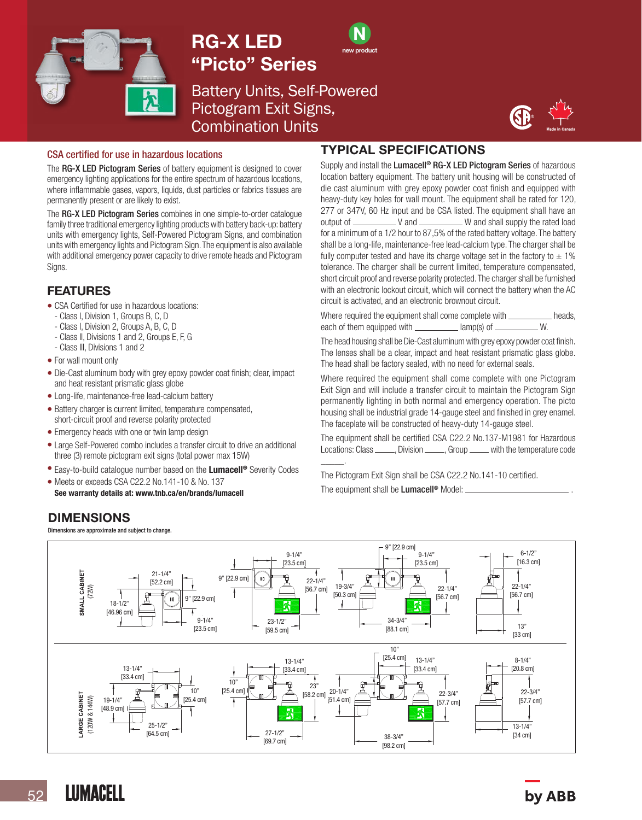

# RG-X LED "Picto" Series



Battery Units, Self-Powered Pictogram Exit Signs, Combination Units



#### CSA certified for use in hazardous locations

The RG-X LED Pictogram Series of battery equipment is designed to cover emergency lighting applications for the entire spectrum of hazardous locations, where inflammable gases, vapors, liquids, dust particles or fabrics tissues are permanently present or are likely to exist.

The **RG-X LED Pictogram Series** combines in one simple-to-order catalogue family three traditional emergency lighting products with battery back-up: battery units with emergency lights, Self-Powered Pictogram Signs, and combination units with emergency lights and Pictogram Sign. The equipment is also available with additional emergency power capacity to drive remote heads and Pictogram Signs.

#### FEATURES

- CSA Certified for use in hazardous locations:
- Class I, Division 1, Groups B, C, D
- Class I, Division 2, Groups A, B, C, D
- Class II, Divisions 1 and 2, Groups E, F, G
- Class III, Divisions 1 and 2
- For wall mount only
- Die-Cast aluminum body with grey epoxy powder coat finish; clear, impact and heat resistant prismatic glass globe
- Long-life, maintenance-free lead-calcium battery
- Battery charger is current limited, temperature compensated, short-circuit proof and reverse polarity protected
- Emergency heads with one or twin lamp design
- Large Self-Powered combo includes a transfer circuit to drive an additional three (3) remote pictogram exit signs (total power max 15W)
- Easy-to-build catalogue number based on the Lumacell<sup>®</sup> Severity Codes
- Meets or exceeds CSA C22.2 No.141-10 & No. 137 See warranty details at: www.tnb.ca/en/brands/lumacell

### TYPICAL SPECIFICATIONS

Supply and install the Lumacell<sup>®</sup> RG-X LED Pictogram Series of hazardous location battery equipment. The battery unit housing will be constructed of die cast aluminum with grey epoxy powder coat finish and equipped with heavy-duty key holes for wall mount. The equipment shall be rated for 120, 277 or 347V, 60 Hz input and be CSA listed. The equipment shall have an output of V and W and shall supply the rated load for a minimum of a 1/2 hour to 87,5% of the rated battery voltage. The battery shall be a long-life, maintenance-free lead-calcium type. The charger shall be fully computer tested and have its charge voltage set in the factory to  $\pm$  1% tolerance. The charger shall be current limited, temperature compensated, short circuit proof and reverse polarity protected. The charger shall be furnished with an electronic lockout circuit, which will connect the battery when the AC circuit is activated, and an electronic brownout circuit.

Where required the equipment shall come complete with  $\frac{1}{\text{Area}}$  heads, each of them equipmed with  $\frac{1}{\text{Area}}$  anno(s) of each of them equipped with  $\frac{1}{\sqrt{2\pi}}$  amp(s) of  $\frac{1}{\sqrt{2\pi}}$ 

The head housing shall be Die-Cast aluminum with grey epoxy powder coat finish. The lenses shall be a clear, impact and heat resistant prismatic glass globe. The head shall be factory sealed, with no need for external seals.

Where required the equipment shall come complete with one Pictogram Exit Sign and will include a transfer circuit to maintain the Pictogram Sign permanently lighting in both normal and emergency operation. The picto housing shall be industrial grade 14-gauge steel and finished in grey enamel. The faceplate will be constructed of heavy-duty 14-gauge steel.

The equipment shall be certified CSA C22.2 No.137-M1981 for Hazardous Locations: Class \_\_\_\_\_\_, Division \_\_\_\_\_, Group \_\_\_\_\_ with the temperature code \_\_\_\_\_.

The Pictogram Exit Sign shall be CSA C22.2 No.141-10 certified. The equipment shall be Lumacell<sup>®</sup> Model:



## DIMENSIONS

Dimensions are approximate and subject to change.

by ABB

**LUMACELL**